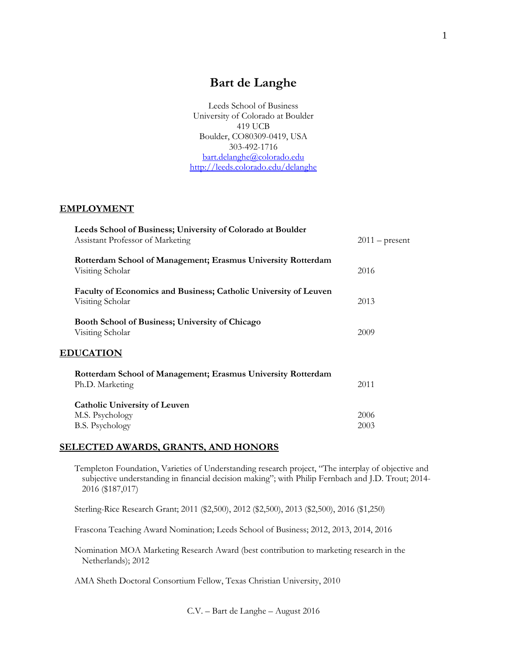# **Bart de Langhe**

Leeds School of Business University of Colorado at Boulder 419 UCB Boulder, CO80309-0419, USA 303-492-1716 [bart.delanghe@colorado.edu](mailto:bart.delanghe@colorado.edu) <http://leeds.colorado.edu/delanghe>

#### **EMPLOYMENT**

| Leeds School of Business; University of Colorado at Boulder<br>Assistant Professor of Marketing | $2011$ – present |
|-------------------------------------------------------------------------------------------------|------------------|
| Rotterdam School of Management; Erasmus University Rotterdam<br>Visiting Scholar                | 2016             |
| Faculty of Economics and Business; Catholic University of Leuven<br>Visiting Scholar            | 2013             |
| Booth School of Business; University of Chicago<br>Visiting Scholar                             | 2009             |
| <b>EDUCATION</b>                                                                                |                  |
| Rotterdam School of Management; Erasmus University Rotterdam<br>Ph.D. Marketing                 | 2011             |
| <b>Catholic University of Leuven</b>                                                            |                  |
| M.S. Psychology                                                                                 | 2006             |
| <b>B.S. Psychology</b>                                                                          | 2003             |

## **SELECTED AWARDS, GRANTS, AND HONORS**

Templeton Foundation, Varieties of Understanding research project, "The interplay of objective and subjective understanding in financial decision making"; with Philip Fernbach and J.D. Trout; 2014- 2016 (\$187,017)

Sterling-Rice Research Grant; 2011 (\$2,500), 2012 (\$2,500), 2013 (\$2,500), 2016 (\$1,250)

Frascona Teaching Award Nomination; Leeds School of Business; 2012, 2013, 2014, 2016

Nomination MOA Marketing Research Award (best contribution to marketing research in the Netherlands); 2012

AMA Sheth Doctoral Consortium Fellow, Texas Christian University, 2010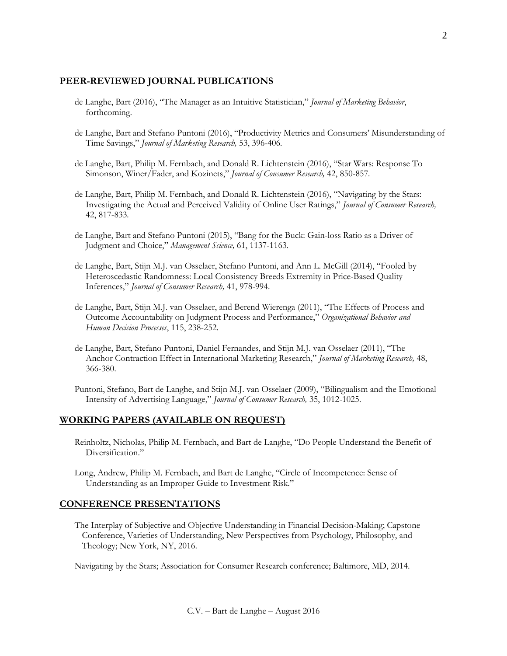## **PEER-REVIEWED JOURNAL PUBLICATIONS**

- de Langhe, Bart (2016), "The Manager as an Intuitive Statistician," *Journal of Marketing Behavior*, forthcoming.
- de Langhe, Bart and Stefano Puntoni (2016), "Productivity Metrics and Consumers' Misunderstanding of Time Savings," *Journal of Marketing Research,* 53, 396-406*.*
- de Langhe, Bart, Philip M. Fernbach, and Donald R. Lichtenstein (2016), "Star Wars: Response To Simonson, Winer/Fader, and Kozinets," *Journal of Consumer Research,* 42, 850-857*.*
- de Langhe, Bart, Philip M. Fernbach, and Donald R. Lichtenstein (2016), "Navigating by the Stars: Investigating the Actual and Perceived Validity of Online User Ratings," *Journal of Consumer Research,*  42, 817-833*.*
- de Langhe, Bart and Stefano Puntoni (2015), "Bang for the Buck: Gain-loss Ratio as a Driver of Judgment and Choice," *Management Science,* 61, 1137-1163*.*
- de Langhe, Bart, Stijn M.J. van Osselaer, Stefano Puntoni, and Ann L. McGill (2014), "Fooled by Heteroscedastic Randomness: Local Consistency Breeds Extremity in Price-Based Quality Inferences," *Journal of Consumer Research,* 41, 978-994.
- de Langhe, Bart, Stijn M.J. van Osselaer, and Berend Wierenga (2011), "The Effects of Process and Outcome Accountability on Judgment Process and Performance," *Organizational Behavior and Human Decision Processes*, 115, 238-252.
- de Langhe, Bart, Stefano Puntoni, Daniel Fernandes, and Stijn M.J. van Osselaer (2011), "The Anchor Contraction Effect in International Marketing Research," *Journal of Marketing Research,* 48, 366-380.
- Puntoni, Stefano, Bart de Langhe, and Stijn M.J. van Osselaer (2009), "Bilingualism and the Emotional Intensity of Advertising Language," *Journal of Consumer Research,* 35, 1012-1025.

## **WORKING PAPERS (AVAILABLE ON REQUEST)**

- Reinholtz, Nicholas, Philip M. Fernbach, and Bart de Langhe, "Do People Understand the Benefit of Diversification."
- Long, Andrew, Philip M. Fernbach, and Bart de Langhe, "Circle of Incompetence: Sense of Understanding as an Improper Guide to Investment Risk."

## **CONFERENCE PRESENTATIONS**

The Interplay of Subjective and Objective Understanding in Financial Decision-Making; Capstone Conference, Varieties of Understanding, New Perspectives from Psychology, Philosophy, and Theology; New York, NY, 2016.

Navigating by the Stars; Association for Consumer Research conference; Baltimore, MD, 2014.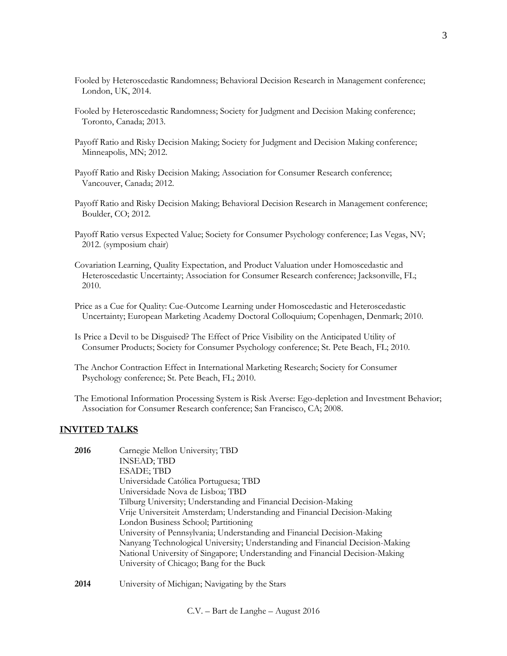- Fooled by Heteroscedastic Randomness; Behavioral Decision Research in Management conference; London, UK, 2014.
- Fooled by Heteroscedastic Randomness; Society for Judgment and Decision Making conference; Toronto, Canada; 2013.
- Payoff Ratio and Risky Decision Making; Society for Judgment and Decision Making conference; Minneapolis, MN; 2012.
- Payoff Ratio and Risky Decision Making; Association for Consumer Research conference; Vancouver, Canada; 2012.
- Payoff Ratio and Risky Decision Making; Behavioral Decision Research in Management conference; Boulder, CO; 2012.
- Payoff Ratio versus Expected Value; Society for Consumer Psychology conference; Las Vegas, NV; 2012. (symposium chair)
- Covariation Learning, Quality Expectation, and Product Valuation under Homoscedastic and Heteroscedastic Uncertainty; Association for Consumer Research conference; Jacksonville, FL; 2010.
- Price as a Cue for Quality: Cue-Outcome Learning under Homoscedastic and Heteroscedastic Uncertainty; European Marketing Academy Doctoral Colloquium; Copenhagen, Denmark; 2010.
- Is Price a Devil to be Disguised? The Effect of Price Visibility on the Anticipated Utility of Consumer Products; Society for Consumer Psychology conference; St. Pete Beach, FL; 2010.
- The Anchor Contraction Effect in International Marketing Research; Society for Consumer Psychology conference; St. Pete Beach, FL; 2010.
- The Emotional Information Processing System is Risk Averse: Ego-depletion and Investment Behavior; Association for Consumer Research conference; San Francisco, CA; 2008.

## **INVITED TALKS**

- **2016** Carnegie Mellon University; TBD INSEAD; TBD ESADE; TBD Universidade Católica Portuguesa; TBD Universidade Nova de Lisboa; TBD Tilburg University; Understanding and Financial Decision-Making Vrije Universiteit Amsterdam; Understanding and Financial Decision-Making London Business School; Partitioning University of Pennsylvania; Understanding and Financial Decision-Making Nanyang Technological University; Understanding and Financial Decision-Making National University of Singapore; Understanding and Financial Decision-Making University of Chicago; Bang for the Buck
- **2014** University of Michigan; Navigating by the Stars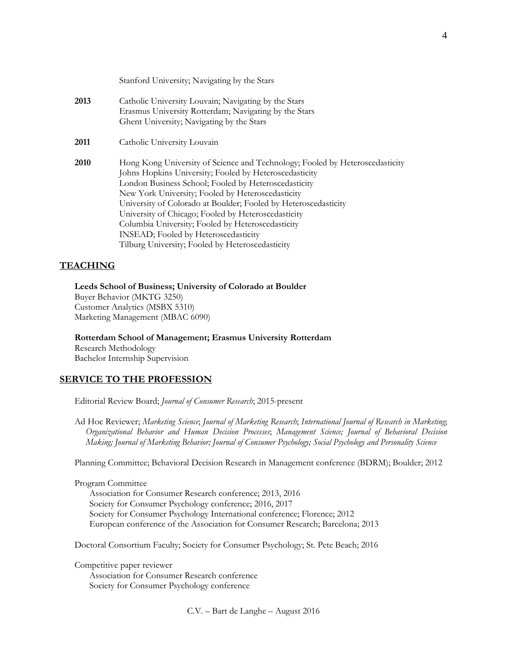|      | Stanford University; Navigating by the Stars                                                                                                                                                                                                                                                                                                                                                                                                                                                                                           |
|------|----------------------------------------------------------------------------------------------------------------------------------------------------------------------------------------------------------------------------------------------------------------------------------------------------------------------------------------------------------------------------------------------------------------------------------------------------------------------------------------------------------------------------------------|
| 2013 | Catholic University Louvain; Navigating by the Stars<br>Erasmus University Rotterdam; Navigating by the Stars<br>Ghent University; Navigating by the Stars                                                                                                                                                                                                                                                                                                                                                                             |
| 2011 | Catholic University Louvain                                                                                                                                                                                                                                                                                                                                                                                                                                                                                                            |
| 2010 | Hong Kong University of Science and Technology; Fooled by Heteroscedasticity<br>Johns Hopkins University; Fooled by Heteroscedasticity<br>London Business School; Fooled by Heteroscedasticity<br>New York University; Fooled by Heteroscedasticity<br>University of Colorado at Boulder; Fooled by Heteroscedasticity<br>University of Chicago; Fooled by Heteroscedasticity<br>Columbia University; Fooled by Heteroscedasticity<br><b>INSEAD</b> ; Fooled by Heteroscedasticity<br>Tilburg University; Fooled by Heteroscedasticity |

## **TEACHING**

**Leeds School of Business; University of Colorado at Boulder** Buyer Behavior (MKTG 3250) Customer Analytics (MSBX 5310) Marketing Management (MBAC 6090)

**Rotterdam School of Management; Erasmus University Rotterdam** Research Methodology Bachelor Internship Supervision

## **SERVICE TO THE PROFESSION**

Editorial Review Board; *Journal of Consumer Research*; 2015-present

Ad Hoc Reviewer; *Marketing Science*; *Journal of Marketing Research*; *International Journal of Research in Marketing*; *Organizational Behavior and Human Decision Processes*; *Management Science; Journal of Behavioral Decision Making; Journal of Marketing Behavior; Journal of Consumer Psychology; Social Psychology and Personality Science*

Planning Committee; Behavioral Decision Research in Management conference (BDRM); Boulder; 2012

#### Program Committee

Association for Consumer Research conference; 2013, 2016 Society for Consumer Psychology conference; 2016, 2017 Society for Consumer Psychology International conference; Florence; 2012 European conference of the Association for Consumer Research; Barcelona; 2013

Doctoral Consortium Faculty; Society for Consumer Psychology; St. Pete Beach; 2016

Competitive paper reviewer Association for Consumer Research conference

Society for Consumer Psychology conference

C.V. – Bart de Langhe – August 2016